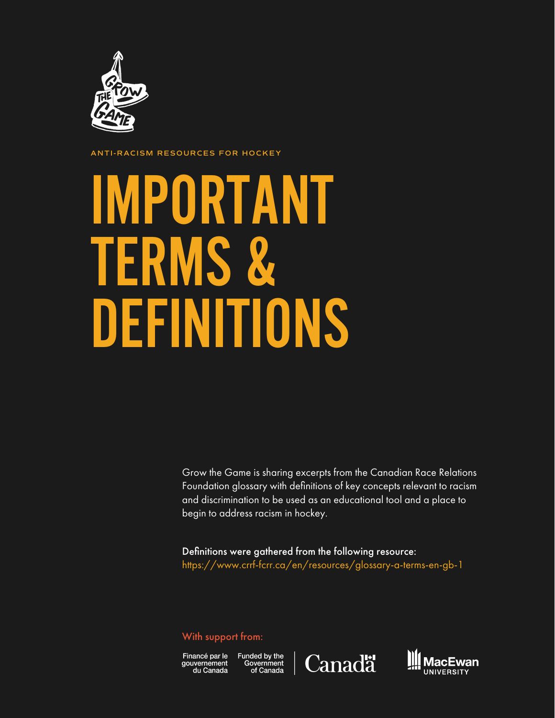

**ANTI-RACISM RESOURCES FOR HOCKEY**

## IMPORTANT TERMS & DEFINITIONS

Grow the Game is sharing excerpts from the Canadian Race Relations Foundation glossary with definitions of key concepts relevant to racism and discrimination to be used as an educational tool and a place to begin to address racism in hockey.

Definitions were gathered from the following resource: https://www.crrf-fcrr.ca/en/resources/glossary-a-terms-en-gb-1

## With support from:

Financé par le Funded by the<br>gouvernement Government<br>du Canada of Canada gouvernement<br>du Canada



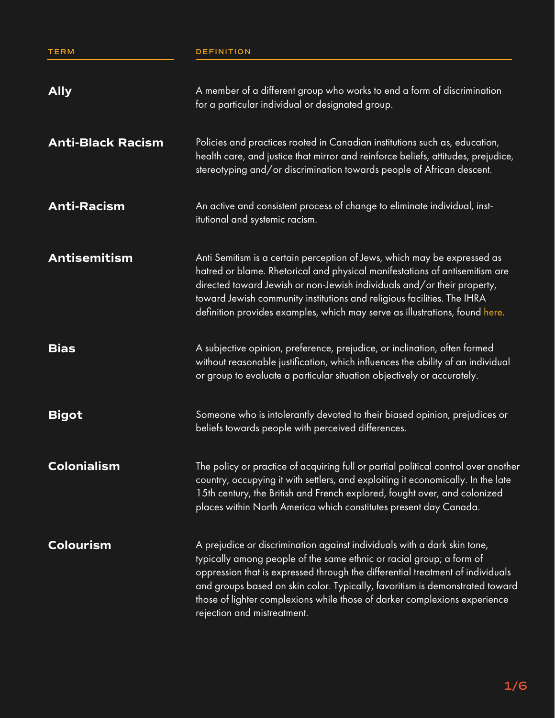**TERM DEFINITION**

| <b>Ally</b>              | A member of a different group who works to end a form of discrimination<br>for a particular individual or designated group.                                                                                                                                                                                                                                                                                                    |
|--------------------------|--------------------------------------------------------------------------------------------------------------------------------------------------------------------------------------------------------------------------------------------------------------------------------------------------------------------------------------------------------------------------------------------------------------------------------|
| <b>Anti-Black Racism</b> | Policies and practices rooted in Canadian institutions such as, education,<br>health care, and justice that mirror and reinforce beliefs, attitudes, prejudice,<br>stereotyping and/or discrimination towards people of African descent.                                                                                                                                                                                       |
| <b>Anti-Racism</b>       | An active and consistent process of change to eliminate individual, inst-<br>itutional and systemic racism.                                                                                                                                                                                                                                                                                                                    |
| <b>Antisemitism</b>      | Anti Semitism is a certain perception of Jews, which may be expressed as<br>hatred or blame. Rhetorical and physical manifestations of antisemitism are<br>directed toward Jewish or non-Jewish individuals and/or their property,<br>toward Jewish community institutions and religious facilities. The IHRA<br>definition provides examples, which may serve as illustrations, found here.                                   |
| <b>Bias</b>              | A subjective opinion, preference, prejudice, or inclination, often formed<br>without reasonable justification, which influences the ability of an individual<br>or group to evaluate a particular situation objectively or accurately.                                                                                                                                                                                         |
| <b>Bigot</b>             | Someone who is intolerantly devoted to their biased opinion, prejudices or<br>beliefs towards people with perceived differences.                                                                                                                                                                                                                                                                                               |
| <b>Colonialism</b>       | The policy or practice of acquiring full or partial political control over another<br>country, occupying it with settlers, and exploiting it economically. In the late<br>15th century, the British and French explored, fought over, and colonized<br>places within North America which constitutes present day Canada.                                                                                                       |
| <b>Colourism</b>         | A prejudice or discrimination against individuals with a dark skin tone,<br>typically among people of the same ethnic or racial group; a form of<br>oppression that is expressed through the differential treatment of individuals<br>and groups based on skin color. Typically, favoritism is demonstrated toward<br>those of lighter complexions while those of darker complexions experience<br>rejection and mistreatment. |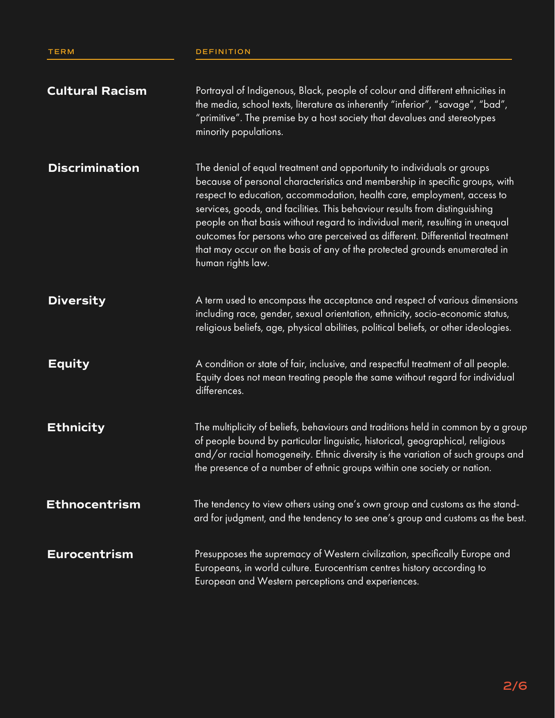| <b>Cultural Racism</b> | Portrayal of Indigenous, Black, people of colour and different ethnicities in<br>the media, school texts, literature as inherently "inferior", "savage", "bad",<br>"primitive". The premise by a host society that devalues and stereotypes<br>minority populations.                                                                                                                                                                                                                                                                                                              |
|------------------------|-----------------------------------------------------------------------------------------------------------------------------------------------------------------------------------------------------------------------------------------------------------------------------------------------------------------------------------------------------------------------------------------------------------------------------------------------------------------------------------------------------------------------------------------------------------------------------------|
| <b>Discrimination</b>  | The denial of equal treatment and opportunity to individuals or groups<br>because of personal characteristics and membership in specific groups, with<br>respect to education, accommodation, health care, employment, access to<br>services, goods, and facilities. This behaviour results from distinguishing<br>people on that basis without regard to individual merit, resulting in unequal<br>outcomes for persons who are perceived as different. Differential treatment<br>that may occur on the basis of any of the protected grounds enumerated in<br>human rights law. |
| <b>Diversity</b>       | A term used to encompass the acceptance and respect of various dimensions<br>including race, gender, sexual orientation, ethnicity, socio-economic status,<br>religious beliefs, age, physical abilities, political beliefs, or other ideologies.                                                                                                                                                                                                                                                                                                                                 |
| <b>Equity</b>          | A condition or state of fair, inclusive, and respectful treatment of all people.<br>Equity does not mean treating people the same without regard for individual<br>differences.                                                                                                                                                                                                                                                                                                                                                                                                   |
| <b>Ethnicity</b>       | The multiplicity of beliefs, behaviours and traditions held in common by a group<br>of people bound by particular linguistic, historical, geographical, religious<br>and/or racial homogeneity. Ethnic diversity is the variation of such groups and<br>the presence of a number of ethnic groups within one society or nation.                                                                                                                                                                                                                                                   |
| <b>Ethnocentrism</b>   | The tendency to view others using one's own group and customs as the stand-<br>ard for judgment, and the tendency to see one's group and customs as the best.                                                                                                                                                                                                                                                                                                                                                                                                                     |
| <b>Eurocentrism</b>    | Presupposes the supremacy of Western civilization, specifically Europe and<br>Europeans, in world culture. Eurocentrism centres history according to<br>European and Western perceptions and experiences.                                                                                                                                                                                                                                                                                                                                                                         |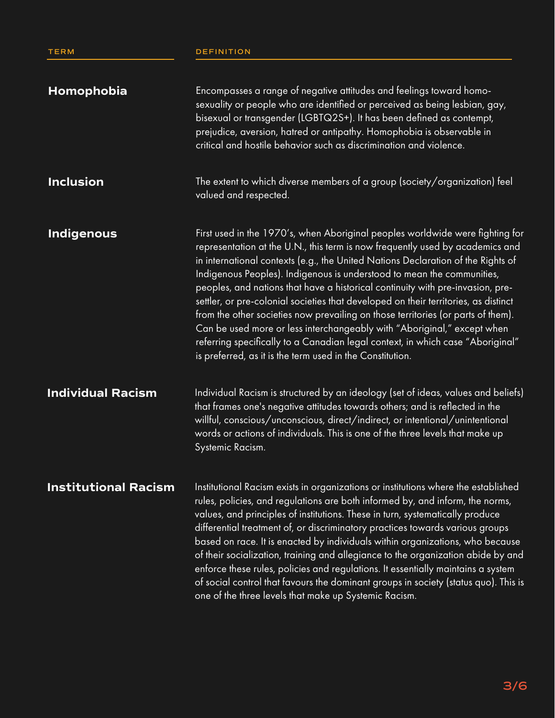## **TERM DEFINITION**

| Homophobia                  | Encompasses a range of negative attitudes and feelings toward homo-<br>sexuality or people who are identified or perceived as being lesbian, gay,<br>bisexual or transgender (LGBTQ2S+). It has been defined as contempt,<br>prejudice, aversion, hatred or antipathy. Homophobia is observable in<br>critical and hostile behavior such as discrimination and violence.                                                                                                                                                                                                                                                                                                                                                                                                                                            |
|-----------------------------|---------------------------------------------------------------------------------------------------------------------------------------------------------------------------------------------------------------------------------------------------------------------------------------------------------------------------------------------------------------------------------------------------------------------------------------------------------------------------------------------------------------------------------------------------------------------------------------------------------------------------------------------------------------------------------------------------------------------------------------------------------------------------------------------------------------------|
| <b>Inclusion</b>            | The extent to which diverse members of a group (society/organization) feel<br>valued and respected.                                                                                                                                                                                                                                                                                                                                                                                                                                                                                                                                                                                                                                                                                                                 |
| <b>Indigenous</b>           | First used in the 1970's, when Aboriginal peoples worldwide were fighting for<br>representation at the U.N., this term is now frequently used by academics and<br>in international contexts (e.g., the United Nations Declaration of the Rights of<br>Indigenous Peoples). Indigenous is understood to mean the communities,<br>peoples, and nations that have a historical continuity with pre-invasion, pre-<br>settler, or pre-colonial societies that developed on their territories, as distinct<br>from the other societies now prevailing on those territories (or parts of them).<br>Can be used more or less interchangeably with "Aboriginal," except when<br>referring specifically to a Canadian legal context, in which case "Aboriginal"<br>is preferred, as it is the term used in the Constitution. |
| <b>Individual Racism</b>    | Individual Racism is structured by an ideology (set of ideas, values and beliefs)<br>that frames one's negative attitudes towards others; and is reflected in the<br>willful, conscious/unconscious, direct/indirect, or intentional/unintentional<br>words or actions of individuals. This is one of the three levels that make up<br>Systemic Racism.                                                                                                                                                                                                                                                                                                                                                                                                                                                             |
| <b>Institutional Racism</b> | Institutional Racism exists in organizations or institutions where the established<br>rules, policies, and regulations are both informed by, and inform, the norms,<br>values, and principles of institutions. These in turn, systematically produce<br>differential treatment of, or discriminatory practices towards various groups<br>based on race. It is enacted by individuals within organizations, who because<br>of their socialization, training and allegiance to the organization abide by and<br>enforce these rules, policies and regulations. It essentially maintains a system<br>of social control that favours the dominant groups in society (status quo). This is<br>one of the three levels that make up Systemic Racism.                                                                      |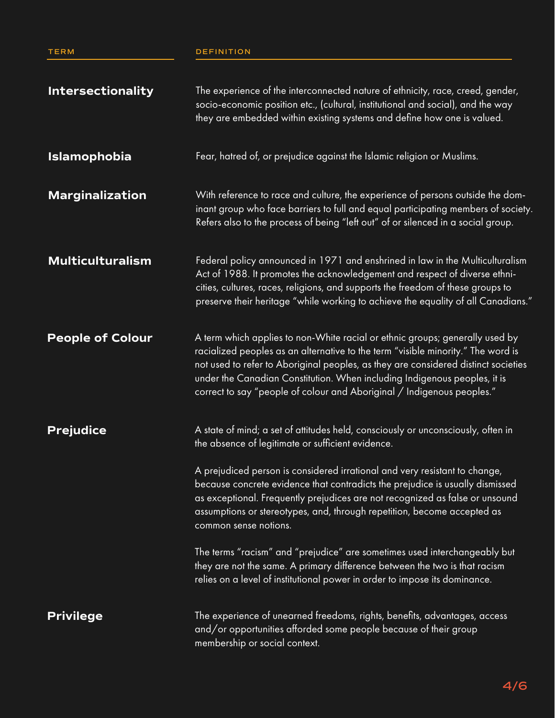## **TERM DEFINITION**

| <b>Intersectionality</b> | The experience of the interconnected nature of ethnicity, race, creed, gender,<br>socio-economic position etc., (cultural, institutional and social), and the way<br>they are embedded within existing systems and define how one is valued.                                                                                                                                                                                                                                                                                                                                                                                                                                                                                      |
|--------------------------|-----------------------------------------------------------------------------------------------------------------------------------------------------------------------------------------------------------------------------------------------------------------------------------------------------------------------------------------------------------------------------------------------------------------------------------------------------------------------------------------------------------------------------------------------------------------------------------------------------------------------------------------------------------------------------------------------------------------------------------|
| <b>Islamophobia</b>      | Fear, hatred of, or prejudice against the Islamic religion or Muslims.                                                                                                                                                                                                                                                                                                                                                                                                                                                                                                                                                                                                                                                            |
| <b>Marginalization</b>   | With reference to race and culture, the experience of persons outside the dom-<br>inant group who face barriers to full and equal participating members of society.<br>Refers also to the process of being "left out" of or silenced in a social group.                                                                                                                                                                                                                                                                                                                                                                                                                                                                           |
| <b>Multiculturalism</b>  | Federal policy announced in 1971 and enshrined in law in the Multiculturalism<br>Act of 1988. It promotes the acknowledgement and respect of diverse ethni-<br>cities, cultures, races, religions, and supports the freedom of these groups to<br>preserve their heritage "while working to achieve the equality of all Canadians."                                                                                                                                                                                                                                                                                                                                                                                               |
| <b>People of Colour</b>  | A term which applies to non-White racial or ethnic groups; generally used by<br>racialized peoples as an alternative to the term "visible minority." The word is<br>not used to refer to Aboriginal peoples, as they are considered distinct societies<br>under the Canadian Constitution. When including Indigenous peoples, it is<br>correct to say "people of colour and Aboriginal / Indigenous peoples."                                                                                                                                                                                                                                                                                                                     |
| <b>Prejudice</b>         | A state of mind; a set of attitudes held, consciously or unconsciously, often in<br>the absence of legitimate or sufficient evidence.<br>A prejudiced person is considered irrational and very resistant to change,<br>because concrete evidence that contradicts the prejudice is usually dismissed<br>as exceptional. Frequently prejudices are not recognized as false or unsound<br>assumptions or stereotypes, and, through repetition, become accepted as<br>common sense notions.<br>The terms "racism" and "prejudice" are sometimes used interchangeably but<br>they are not the same. A primary difference between the two is that racism<br>relies on a level of institutional power in order to impose its dominance. |
| <b>Privilege</b>         | The experience of unearned freedoms, rights, benefits, advantages, access<br>and/or opportunities afforded some people because of their group<br>membership or social context.                                                                                                                                                                                                                                                                                                                                                                                                                                                                                                                                                    |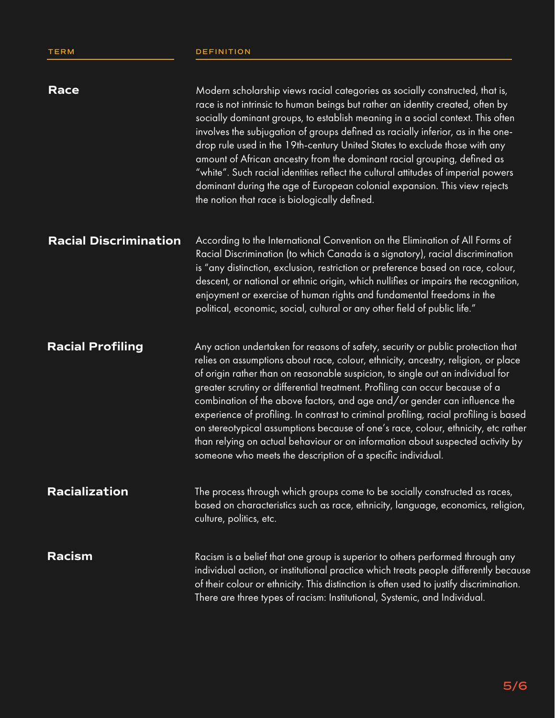| <b>Race</b>                  | Modern scholarship views racial categories as socially constructed, that is,<br>race is not intrinsic to human beings but rather an identity created, often by<br>socially dominant groups, to establish meaning in a social context. This often<br>involves the subjugation of groups defined as racially inferior, as in the one-<br>drop rule used in the 19th-century United States to exclude those with any<br>amount of African ancestry from the dominant racial grouping, defined as<br>"white". Such racial identities reflect the cultural attitudes of imperial powers<br>dominant during the age of European colonial expansion. This view rejects<br>the notion that race is biologically defined.                                   |
|------------------------------|----------------------------------------------------------------------------------------------------------------------------------------------------------------------------------------------------------------------------------------------------------------------------------------------------------------------------------------------------------------------------------------------------------------------------------------------------------------------------------------------------------------------------------------------------------------------------------------------------------------------------------------------------------------------------------------------------------------------------------------------------|
| <b>Racial Discrimination</b> | According to the International Convention on the Elimination of All Forms of<br>Racial Discrimination (to which Canada is a signatory), racial discrimination<br>is "any distinction, exclusion, restriction or preference based on race, colour,<br>descent, or national or ethnic origin, which nullifies or impairs the recognition,<br>enjoyment or exercise of human rights and fundamental freedoms in the<br>political, economic, social, cultural or any other field of public life."                                                                                                                                                                                                                                                      |
| <b>Racial Profiling</b>      | Any action undertaken for reasons of safety, security or public protection that<br>relies on assumptions about race, colour, ethnicity, ancestry, religion, or place<br>of origin rather than on reasonable suspicion, to single out an individual for<br>greater scrutiny or differential treatment. Profiling can occur because of a<br>combination of the above factors, and age and/or gender can influence the<br>experience of profiling. In contrast to criminal profiling, racial profiling is based<br>on stereotypical assumptions because of one's race, colour, ethnicity, etc rather<br>than relying on actual behaviour or on information about suspected activity by<br>someone who meets the description of a specific individual. |
| Racialization                | The process through which groups come to be socially constructed as races,<br>based on characteristics such as race, ethnicity, language, economics, religion,<br>culture, politics, etc.                                                                                                                                                                                                                                                                                                                                                                                                                                                                                                                                                          |
| <b>Racism</b>                | Racism is a belief that one group is superior to others performed through any<br>individual action, or institutional practice which treats people differently because<br>of their colour or ethnicity. This distinction is often used to justify discrimination.<br>There are three types of racism: Institutional, Systemic, and Individual.                                                                                                                                                                                                                                                                                                                                                                                                      |